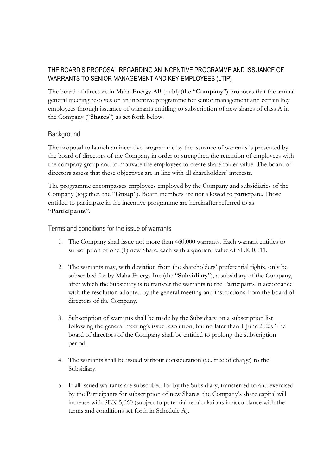# THE BOARD'S PROPOSAL REGARDING AN INCENTIVE PROGRAMME AND ISSUANCE OF WARRANTS TO SENIOR MANAGEMENT AND KEY EMPLOYEES (LTIP)

The board of directors in Maha Energy AB (publ) (the "**Company**") proposes that the annual general meeting resolves on an incentive programme for senior management and certain key employees through issuance of warrants entitling to subscription of new shares of class A in the Company ("**Shares**") as set forth below.

## **Background**

The proposal to launch an incentive programme by the issuance of warrants is presented by the board of directors of the Company in order to strengthen the retention of employees with the company group and to motivate the employees to create shareholder value. The board of directors assess that these objectives are in line with all shareholders' interests.

The programme encompasses employees employed by the Company and subsidiaries of the Company (together, the "**Group**"). Board members are not allowed to participate. Those entitled to participate in the incentive programme are hereinafter referred to as "**Participants**".

Terms and conditions for the issue of warrants

- 1. The Company shall issue not more than 460,000 warrants. Each warrant entitles to subscription of one (1) new Share, each with a quotient value of SEK 0.011.
- 2. The warrants may, with deviation from the shareholders' preferential rights, only be subscribed for by Maha Energy Inc (the "**Subsidiary**"), a subsidiary of the Company, after which the Subsidiary is to transfer the warrants to the Participants in accordance with the resolution adopted by the general meeting and instructions from the board of directors of the Company.
- 3. Subscription of warrants shall be made by the Subsidiary on a subscription list following the general meeting's issue resolution, but no later than 1 June 2020. The board of directors of the Company shall be entitled to prolong the subscription period.
- 4. The warrants shall be issued without consideration (i.e. free of charge) to the Subsidiary.
- 5. If all issued warrants are subscribed for by the Subsidiary, transferred to and exercised by the Participants for subscription of new Shares, the Company's share capital will increase with SEK 5,060 (subject to potential recalculations in accordance with the terms and conditions set forth in Schedule A).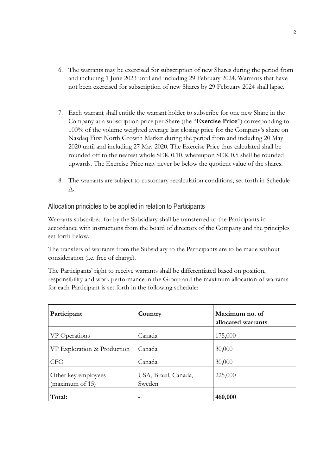- 6. The warrants may be exercised for subscription of new Shares during the period from and including 1 June 2023 until and including 29 February 2024. Warrants that have not been exercised for subscription of new Shares by 29 February 2024 shall lapse.
- 7. Each warrant shall entitle the warrant holder to subscribe for one new Share in the Company at a subscription price per Share (the "**Exercise Price**") corresponding to 100% of the volume weighted average last closing price for the Company's share on Nasdaq First North Growth Market during the period from and including 20 May 2020 until and including 27 May 2020. The Exercise Price thus calculated shall be rounded off to the nearest whole SEK 0.10, whereupon SEK 0.5 shall be rounded upwards. The Exercise Price may never be below the quotient value of the shares.
- 8. The warrants are subject to customary recalculation conditions, set forth in Schedule A.

Allocation principles to be applied in relation to Participants

Warrants subscribed for by the Subsidiary shall be transferred to the Participants in accordance with instructions from the board of directors of the Company and the principles set forth below.

The transfers of warrants from the Subsidiary to the Participants are to be made without consideration (i.e. free of charge).

The Participants' right to receive warrants shall be differentiated based on position, responsibility and work performance in the Group and the maximum allocation of warrants for each Participant is set forth in the following schedule:

| Participant                            | Country                        | Maximum no. of<br>allocated warrants |
|----------------------------------------|--------------------------------|--------------------------------------|
| VP Operations                          | Canada                         | 175,000                              |
| VP Exploration & Production            | Canada                         | 30,000                               |
| <b>CFO</b>                             | Canada                         | 30,000                               |
| Other key employees<br>(maximum of 15) | USA, Brazil, Canada,<br>Sweden | 225,000                              |
| Total:                                 |                                | 460,000                              |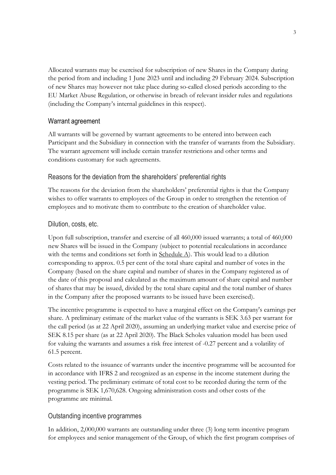Allocated warrants may be exercised for subscription of new Shares in the Company during the period from and including 1 June 2023 until and including 29 February 2024. Subscription of new Shares may however not take place during so-called closed periods according to the EU Market Abuse Regulation, or otherwise in breach of relevant insider rules and regulations (including the Company's internal guidelines in this respect).

### Warrant agreement

All warrants will be governed by warrant agreements to be entered into between each Participant and the Subsidiary in connection with the transfer of warrants from the Subsidiary. The warrant agreement will include certain transfer restrictions and other terms and conditions customary for such agreements.

### Reasons for the deviation from the shareholders' preferential rights

The reasons for the deviation from the shareholders' preferential rights is that the Company wishes to offer warrants to employees of the Group in order to strengthen the retention of employees and to motivate them to contribute to the creation of shareholder value.

### Dilution, costs, etc.

Upon full subscription, transfer and exercise of all 460,000 issued warrants; a total of 460,000 new Shares will be issued in the Company (subject to potential recalculations in accordance with the terms and conditions set forth in Schedule A). This would lead to a dilution corresponding to approx. 0.5 per cent of the total share capital and number of votes in the Company (based on the share capital and number of shares in the Company registered as of the date of this proposal and calculated as the maximum amount of share capital and number of shares that may be issued, divided by the total share capital and the total number of shares in the Company after the proposed warrants to be issued have been exercised).

The incentive programme is expected to have a marginal effect on the Company's earnings per share. A preliminary estimate of the market value of the warrants is SEK 3.63 per warrant for the call period (as at 22 April 2020), assuming an underlying market value and exercise price of SEK 8.15 per share (as at 22 April 2020). The Black Scholes valuation model has been used for valuing the warrants and assumes a risk free interest of -0.27 percent and a volatility of 61.5 percent.

Costs related to the issuance of warrants under the incentive programme will be accounted for in accordance with IFRS 2 and recognized as an expense in the income statement during the vesting period. The preliminary estimate of total cost to be recorded during the term of the programme is SEK 1,670,628. Ongoing administration costs and other costs of the programme are minimal.

### Outstanding incentive programmes

In addition, 2,000,000 warrants are outstanding under three (3) long term incentive program for employees and senior management of the Group, of which the first program comprises of